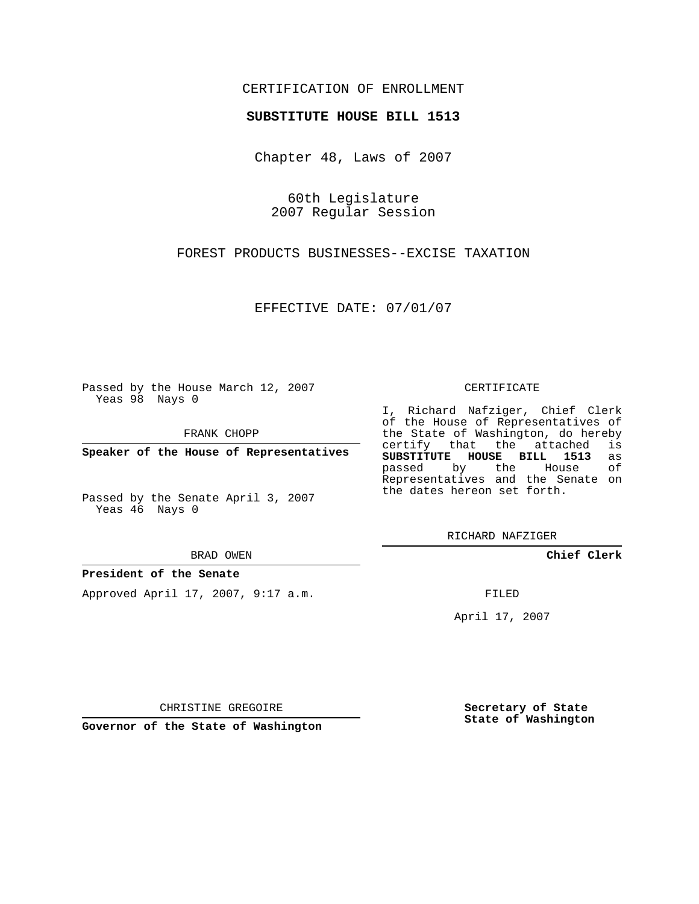## CERTIFICATION OF ENROLLMENT

### **SUBSTITUTE HOUSE BILL 1513**

Chapter 48, Laws of 2007

60th Legislature 2007 Regular Session

FOREST PRODUCTS BUSINESSES--EXCISE TAXATION

EFFECTIVE DATE: 07/01/07

Passed by the House March 12, 2007 Yeas 98 Nays 0

FRANK CHOPP

**Speaker of the House of Representatives**

Passed by the Senate April 3, 2007 Yeas 46 Nays 0

#### BRAD OWEN

# **President of the Senate**

Approved April 17, 2007, 9:17 a.m.

#### CERTIFICATE

I, Richard Nafziger, Chief Clerk of the House of Representatives of the State of Washington, do hereby<br>certify that the attached is certify that the attached **SUBSTITUTE HOUSE BILL 1513** as passed by the House Representatives and the Senate on the dates hereon set forth.

RICHARD NAFZIGER

**Chief Clerk**

FILED

April 17, 2007

CHRISTINE GREGOIRE

**Governor of the State of Washington**

**Secretary of State State of Washington**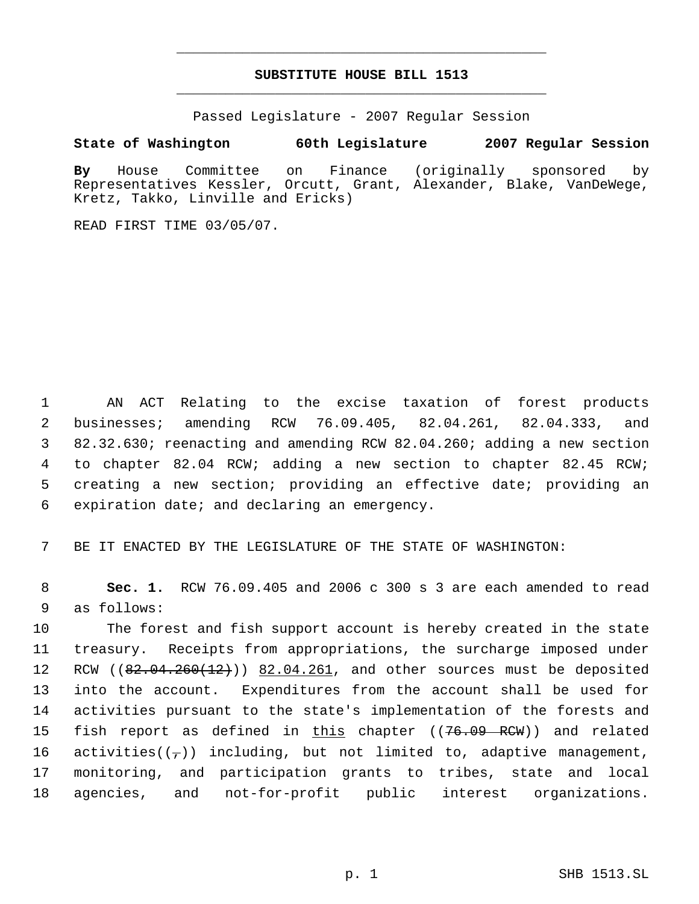# **SUBSTITUTE HOUSE BILL 1513** \_\_\_\_\_\_\_\_\_\_\_\_\_\_\_\_\_\_\_\_\_\_\_\_\_\_\_\_\_\_\_\_\_\_\_\_\_\_\_\_\_\_\_\_\_

\_\_\_\_\_\_\_\_\_\_\_\_\_\_\_\_\_\_\_\_\_\_\_\_\_\_\_\_\_\_\_\_\_\_\_\_\_\_\_\_\_\_\_\_\_

Passed Legislature - 2007 Regular Session

### **State of Washington 60th Legislature 2007 Regular Session**

**By** House Committee on Finance (originally sponsored by Representatives Kessler, Orcutt, Grant, Alexander, Blake, VanDeWege, Kretz, Takko, Linville and Ericks)

READ FIRST TIME 03/05/07.

 AN ACT Relating to the excise taxation of forest products businesses; amending RCW 76.09.405, 82.04.261, 82.04.333, and 82.32.630; reenacting and amending RCW 82.04.260; adding a new section to chapter 82.04 RCW; adding a new section to chapter 82.45 RCW; creating a new section; providing an effective date; providing an expiration date; and declaring an emergency.

7 BE IT ENACTED BY THE LEGISLATURE OF THE STATE OF WASHINGTON:

 8 **Sec. 1.** RCW 76.09.405 and 2006 c 300 s 3 are each amended to read 9 as follows:

 The forest and fish support account is hereby created in the state treasury. Receipts from appropriations, the surcharge imposed under 12 RCW ((82.04.260(12))) 82.04.261, and other sources must be deposited into the account. Expenditures from the account shall be used for activities pursuant to the state's implementation of the forests and 15 fish report as defined in <u>this</u> chapter ((<del>76.09 RCW</del>)) and related 16 activities( $(\tau)$ ) including, but not limited to, adaptive management, monitoring, and participation grants to tribes, state and local agencies, and not-for-profit public interest organizations.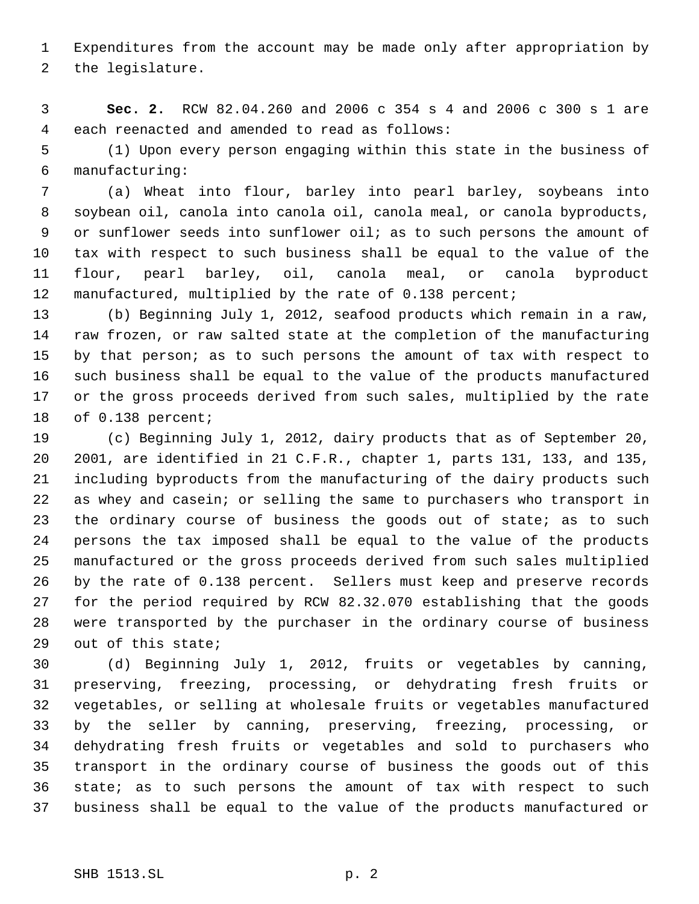Expenditures from the account may be made only after appropriation by the legislature.

 **Sec. 2.** RCW 82.04.260 and 2006 c 354 s 4 and 2006 c 300 s 1 are each reenacted and amended to read as follows:

 (1) Upon every person engaging within this state in the business of manufacturing:

 (a) Wheat into flour, barley into pearl barley, soybeans into soybean oil, canola into canola oil, canola meal, or canola byproducts, or sunflower seeds into sunflower oil; as to such persons the amount of tax with respect to such business shall be equal to the value of the flour, pearl barley, oil, canola meal, or canola byproduct manufactured, multiplied by the rate of 0.138 percent;

 (b) Beginning July 1, 2012, seafood products which remain in a raw, raw frozen, or raw salted state at the completion of the manufacturing by that person; as to such persons the amount of tax with respect to such business shall be equal to the value of the products manufactured or the gross proceeds derived from such sales, multiplied by the rate of 0.138 percent;

 (c) Beginning July 1, 2012, dairy products that as of September 20, 2001, are identified in 21 C.F.R., chapter 1, parts 131, 133, and 135, including byproducts from the manufacturing of the dairy products such as whey and casein; or selling the same to purchasers who transport in 23 the ordinary course of business the goods out of state; as to such persons the tax imposed shall be equal to the value of the products manufactured or the gross proceeds derived from such sales multiplied by the rate of 0.138 percent. Sellers must keep and preserve records for the period required by RCW 82.32.070 establishing that the goods were transported by the purchaser in the ordinary course of business out of this state;

 (d) Beginning July 1, 2012, fruits or vegetables by canning, preserving, freezing, processing, or dehydrating fresh fruits or vegetables, or selling at wholesale fruits or vegetables manufactured by the seller by canning, preserving, freezing, processing, or dehydrating fresh fruits or vegetables and sold to purchasers who transport in the ordinary course of business the goods out of this state; as to such persons the amount of tax with respect to such business shall be equal to the value of the products manufactured or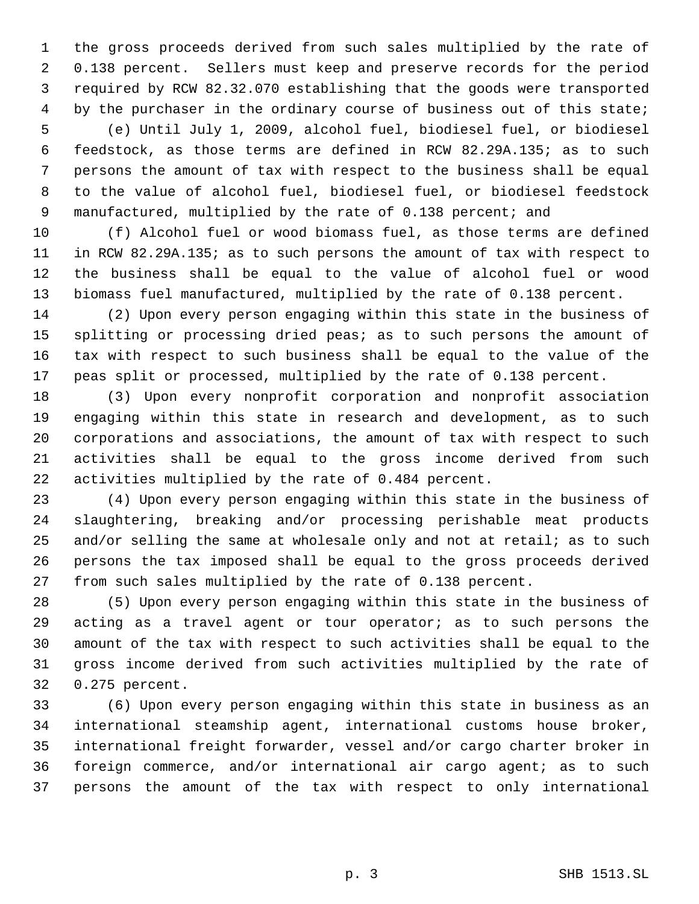the gross proceeds derived from such sales multiplied by the rate of 0.138 percent. Sellers must keep and preserve records for the period required by RCW 82.32.070 establishing that the goods were transported 4 by the purchaser in the ordinary course of business out of this state; (e) Until July 1, 2009, alcohol fuel, biodiesel fuel, or biodiesel

 feedstock, as those terms are defined in RCW 82.29A.135; as to such persons the amount of tax with respect to the business shall be equal to the value of alcohol fuel, biodiesel fuel, or biodiesel feedstock 9 manufactured, multiplied by the rate of 0.138 percent; and

 (f) Alcohol fuel or wood biomass fuel, as those terms are defined in RCW 82.29A.135; as to such persons the amount of tax with respect to the business shall be equal to the value of alcohol fuel or wood biomass fuel manufactured, multiplied by the rate of 0.138 percent.

 (2) Upon every person engaging within this state in the business of splitting or processing dried peas; as to such persons the amount of tax with respect to such business shall be equal to the value of the peas split or processed, multiplied by the rate of 0.138 percent.

 (3) Upon every nonprofit corporation and nonprofit association engaging within this state in research and development, as to such corporations and associations, the amount of tax with respect to such activities shall be equal to the gross income derived from such activities multiplied by the rate of 0.484 percent.

 (4) Upon every person engaging within this state in the business of slaughtering, breaking and/or processing perishable meat products and/or selling the same at wholesale only and not at retail; as to such persons the tax imposed shall be equal to the gross proceeds derived from such sales multiplied by the rate of 0.138 percent.

 (5) Upon every person engaging within this state in the business of acting as a travel agent or tour operator; as to such persons the amount of the tax with respect to such activities shall be equal to the gross income derived from such activities multiplied by the rate of 0.275 percent.

 (6) Upon every person engaging within this state in business as an international steamship agent, international customs house broker, international freight forwarder, vessel and/or cargo charter broker in foreign commerce, and/or international air cargo agent; as to such persons the amount of the tax with respect to only international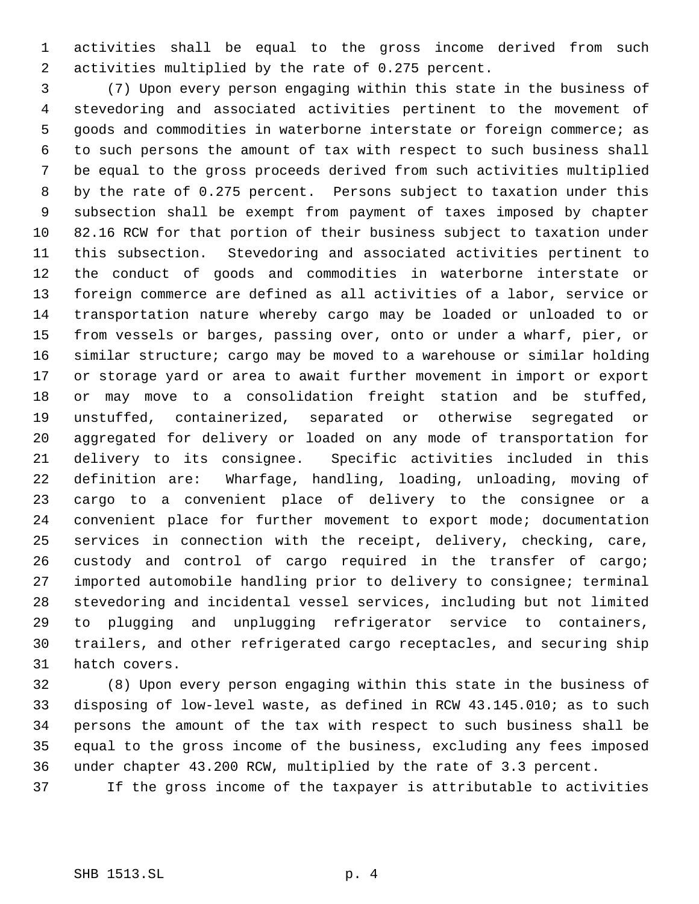activities shall be equal to the gross income derived from such activities multiplied by the rate of 0.275 percent.

 (7) Upon every person engaging within this state in the business of stevedoring and associated activities pertinent to the movement of goods and commodities in waterborne interstate or foreign commerce; as to such persons the amount of tax with respect to such business shall be equal to the gross proceeds derived from such activities multiplied by the rate of 0.275 percent. Persons subject to taxation under this subsection shall be exempt from payment of taxes imposed by chapter 82.16 RCW for that portion of their business subject to taxation under this subsection. Stevedoring and associated activities pertinent to the conduct of goods and commodities in waterborne interstate or foreign commerce are defined as all activities of a labor, service or transportation nature whereby cargo may be loaded or unloaded to or from vessels or barges, passing over, onto or under a wharf, pier, or similar structure; cargo may be moved to a warehouse or similar holding or storage yard or area to await further movement in import or export or may move to a consolidation freight station and be stuffed, unstuffed, containerized, separated or otherwise segregated or aggregated for delivery or loaded on any mode of transportation for delivery to its consignee. Specific activities included in this definition are: Wharfage, handling, loading, unloading, moving of cargo to a convenient place of delivery to the consignee or a convenient place for further movement to export mode; documentation services in connection with the receipt, delivery, checking, care, custody and control of cargo required in the transfer of cargo; imported automobile handling prior to delivery to consignee; terminal stevedoring and incidental vessel services, including but not limited to plugging and unplugging refrigerator service to containers, trailers, and other refrigerated cargo receptacles, and securing ship hatch covers.

 (8) Upon every person engaging within this state in the business of disposing of low-level waste, as defined in RCW 43.145.010; as to such persons the amount of the tax with respect to such business shall be equal to the gross income of the business, excluding any fees imposed under chapter 43.200 RCW, multiplied by the rate of 3.3 percent.

If the gross income of the taxpayer is attributable to activities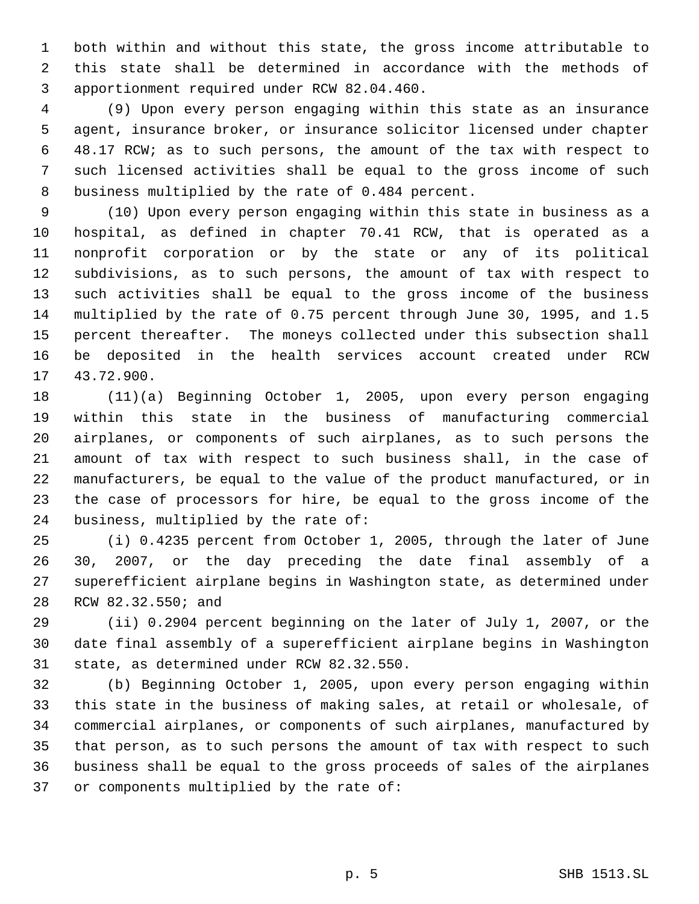both within and without this state, the gross income attributable to this state shall be determined in accordance with the methods of apportionment required under RCW 82.04.460.

 (9) Upon every person engaging within this state as an insurance agent, insurance broker, or insurance solicitor licensed under chapter 48.17 RCW; as to such persons, the amount of the tax with respect to such licensed activities shall be equal to the gross income of such business multiplied by the rate of 0.484 percent.

 (10) Upon every person engaging within this state in business as a hospital, as defined in chapter 70.41 RCW, that is operated as a nonprofit corporation or by the state or any of its political subdivisions, as to such persons, the amount of tax with respect to such activities shall be equal to the gross income of the business multiplied by the rate of 0.75 percent through June 30, 1995, and 1.5 percent thereafter. The moneys collected under this subsection shall be deposited in the health services account created under RCW 43.72.900.

 (11)(a) Beginning October 1, 2005, upon every person engaging within this state in the business of manufacturing commercial airplanes, or components of such airplanes, as to such persons the amount of tax with respect to such business shall, in the case of manufacturers, be equal to the value of the product manufactured, or in the case of processors for hire, be equal to the gross income of the business, multiplied by the rate of:

 (i) 0.4235 percent from October 1, 2005, through the later of June 30, 2007, or the day preceding the date final assembly of a superefficient airplane begins in Washington state, as determined under RCW 82.32.550; and

 (ii) 0.2904 percent beginning on the later of July 1, 2007, or the date final assembly of a superefficient airplane begins in Washington state, as determined under RCW 82.32.550.

 (b) Beginning October 1, 2005, upon every person engaging within this state in the business of making sales, at retail or wholesale, of commercial airplanes, or components of such airplanes, manufactured by that person, as to such persons the amount of tax with respect to such business shall be equal to the gross proceeds of sales of the airplanes or components multiplied by the rate of: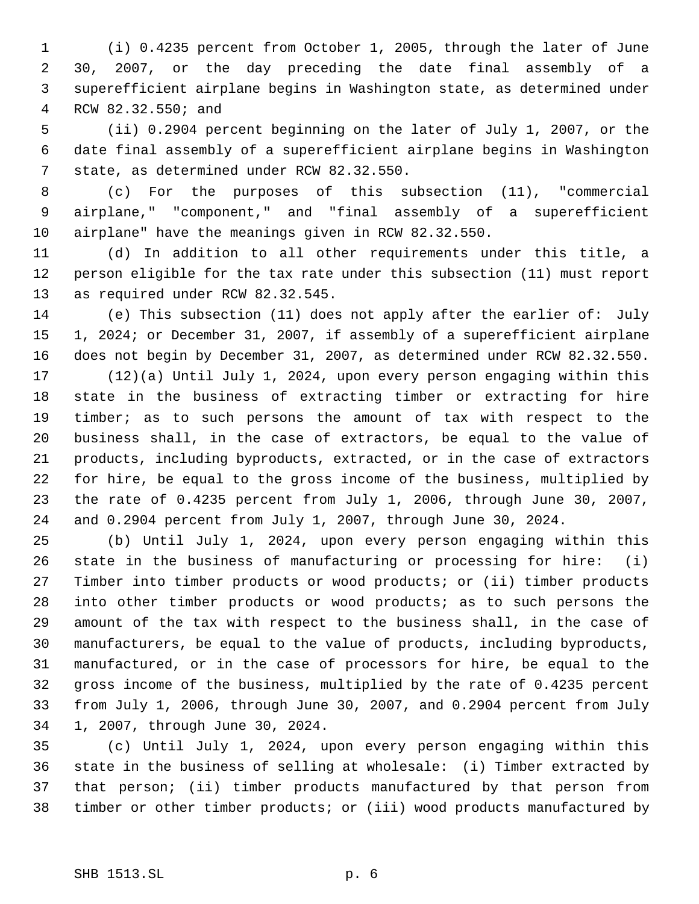(i) 0.4235 percent from October 1, 2005, through the later of June 30, 2007, or the day preceding the date final assembly of a superefficient airplane begins in Washington state, as determined under RCW 82.32.550; and

 (ii) 0.2904 percent beginning on the later of July 1, 2007, or the date final assembly of a superefficient airplane begins in Washington state, as determined under RCW 82.32.550.

 (c) For the purposes of this subsection (11), "commercial airplane," "component," and "final assembly of a superefficient airplane" have the meanings given in RCW 82.32.550.

 (d) In addition to all other requirements under this title, a person eligible for the tax rate under this subsection (11) must report as required under RCW 82.32.545.

 (e) This subsection (11) does not apply after the earlier of: July 1, 2024; or December 31, 2007, if assembly of a superefficient airplane does not begin by December 31, 2007, as determined under RCW 82.32.550.

 (12)(a) Until July 1, 2024, upon every person engaging within this state in the business of extracting timber or extracting for hire timber; as to such persons the amount of tax with respect to the business shall, in the case of extractors, be equal to the value of products, including byproducts, extracted, or in the case of extractors for hire, be equal to the gross income of the business, multiplied by the rate of 0.4235 percent from July 1, 2006, through June 30, 2007, and 0.2904 percent from July 1, 2007, through June 30, 2024.

 (b) Until July 1, 2024, upon every person engaging within this state in the business of manufacturing or processing for hire: (i) Timber into timber products or wood products; or (ii) timber products into other timber products or wood products; as to such persons the amount of the tax with respect to the business shall, in the case of manufacturers, be equal to the value of products, including byproducts, manufactured, or in the case of processors for hire, be equal to the gross income of the business, multiplied by the rate of 0.4235 percent from July 1, 2006, through June 30, 2007, and 0.2904 percent from July 1, 2007, through June 30, 2024.

 (c) Until July 1, 2024, upon every person engaging within this state in the business of selling at wholesale: (i) Timber extracted by that person; (ii) timber products manufactured by that person from timber or other timber products; or (iii) wood products manufactured by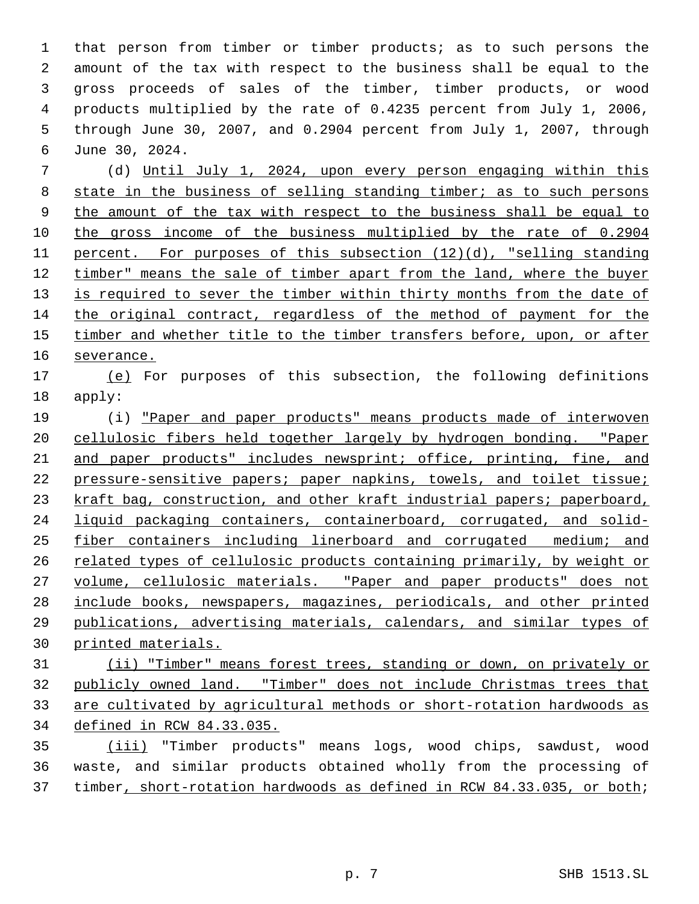that person from timber or timber products; as to such persons the amount of the tax with respect to the business shall be equal to the gross proceeds of sales of the timber, timber products, or wood products multiplied by the rate of 0.4235 percent from July 1, 2006, through June 30, 2007, and 0.2904 percent from July 1, 2007, through June 30, 2024.

 (d) Until July 1, 2024, upon every person engaging within this state in the business of selling standing timber; as to such persons the amount of the tax with respect to the business shall be equal to the gross income of the business multiplied by the rate of 0.2904 percent. For purposes of this subsection (12)(d), "selling standing timber" means the sale of timber apart from the land, where the buyer 13 is required to sever the timber within thirty months from the date of the original contract, regardless of the method of payment for the 15 timber and whether title to the timber transfers before, upon, or after severance.

 (e) For purposes of this subsection, the following definitions apply:

 (i) "Paper and paper products" means products made of interwoven cellulosic fibers held together largely by hydrogen bonding. "Paper and paper products" includes newsprint; office, printing, fine, and pressure-sensitive papers; paper napkins, towels, and toilet tissue; 23 kraft bag, construction, and other kraft industrial papers; paperboard, liquid packaging containers, containerboard, corrugated, and solid- fiber containers including linerboard and corrugated medium; and 26 related types of cellulosic products containing primarily, by weight or 27 volume, cellulosic materials. "Paper and paper products" does not include books, newspapers, magazines, periodicals, and other printed publications, advertising materials, calendars, and similar types of printed materials.

 (ii) "Timber" means forest trees, standing or down, on privately or publicly owned land. "Timber" does not include Christmas trees that are cultivated by agricultural methods or short-rotation hardwoods as defined in RCW 84.33.035.

 (iii) "Timber products" means logs, wood chips, sawdust, wood waste, and similar products obtained wholly from the processing of timber, short-rotation hardwoods as defined in RCW 84.33.035, or both;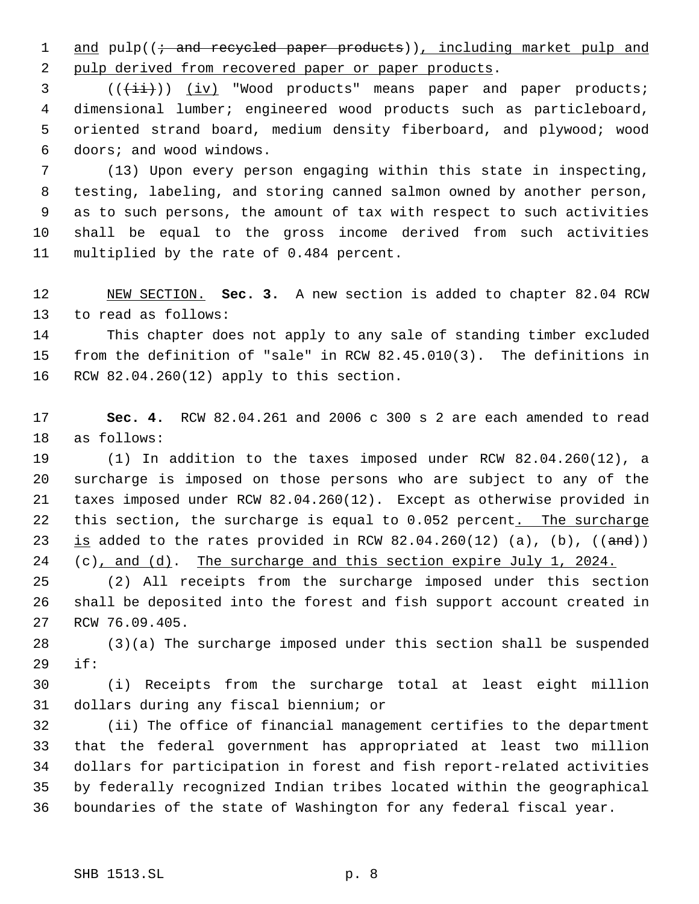1 and pulp((; and recycled paper products)), including market pulp and 2 pulp derived from recovered paper or paper products.

3 (( $(\frac{1}{i})$ ) (iv) "Wood products" means paper and paper products; dimensional lumber; engineered wood products such as particleboard, oriented strand board, medium density fiberboard, and plywood; wood doors; and wood windows.

 (13) Upon every person engaging within this state in inspecting, testing, labeling, and storing canned salmon owned by another person, as to such persons, the amount of tax with respect to such activities shall be equal to the gross income derived from such activities multiplied by the rate of 0.484 percent.

 NEW SECTION. **Sec. 3.** A new section is added to chapter 82.04 RCW to read as follows:

 This chapter does not apply to any sale of standing timber excluded from the definition of "sale" in RCW 82.45.010(3). The definitions in RCW 82.04.260(12) apply to this section.

 **Sec. 4.** RCW 82.04.261 and 2006 c 300 s 2 are each amended to read as follows:

 (1) In addition to the taxes imposed under RCW 82.04.260(12), a surcharge is imposed on those persons who are subject to any of the taxes imposed under RCW 82.04.260(12). Except as otherwise provided in 22 this section, the surcharge is equal to 0.052 percent. The surcharge 23 is added to the rates provided in RCW  $82.04.260(12)$  (a), (b), ((and)) 24 (c), and (d). The surcharge and this section expire July 1, 2024.

 (2) All receipts from the surcharge imposed under this section shall be deposited into the forest and fish support account created in RCW 76.09.405.

 (3)(a) The surcharge imposed under this section shall be suspended if:

 (i) Receipts from the surcharge total at least eight million dollars during any fiscal biennium; or

 (ii) The office of financial management certifies to the department that the federal government has appropriated at least two million dollars for participation in forest and fish report-related activities by federally recognized Indian tribes located within the geographical boundaries of the state of Washington for any federal fiscal year.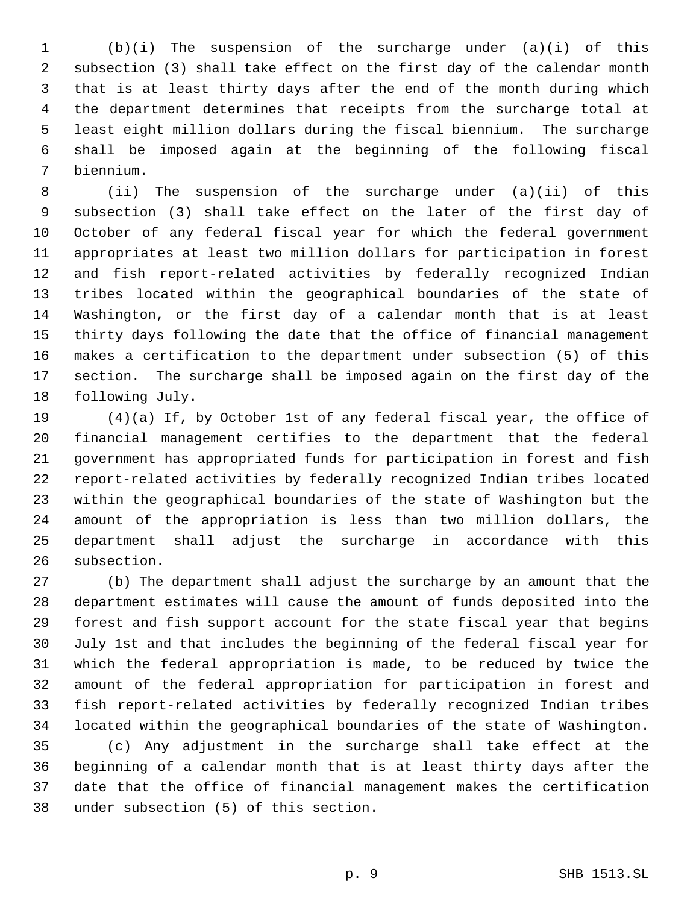(b)(i) The suspension of the surcharge under (a)(i) of this subsection (3) shall take effect on the first day of the calendar month that is at least thirty days after the end of the month during which the department determines that receipts from the surcharge total at least eight million dollars during the fiscal biennium. The surcharge shall be imposed again at the beginning of the following fiscal biennium.

 (ii) The suspension of the surcharge under (a)(ii) of this subsection (3) shall take effect on the later of the first day of October of any federal fiscal year for which the federal government appropriates at least two million dollars for participation in forest and fish report-related activities by federally recognized Indian tribes located within the geographical boundaries of the state of Washington, or the first day of a calendar month that is at least thirty days following the date that the office of financial management makes a certification to the department under subsection (5) of this section. The surcharge shall be imposed again on the first day of the following July.

 (4)(a) If, by October 1st of any federal fiscal year, the office of financial management certifies to the department that the federal government has appropriated funds for participation in forest and fish report-related activities by federally recognized Indian tribes located within the geographical boundaries of the state of Washington but the amount of the appropriation is less than two million dollars, the department shall adjust the surcharge in accordance with this subsection.

 (b) The department shall adjust the surcharge by an amount that the department estimates will cause the amount of funds deposited into the forest and fish support account for the state fiscal year that begins July 1st and that includes the beginning of the federal fiscal year for which the federal appropriation is made, to be reduced by twice the amount of the federal appropriation for participation in forest and fish report-related activities by federally recognized Indian tribes located within the geographical boundaries of the state of Washington. (c) Any adjustment in the surcharge shall take effect at the beginning of a calendar month that is at least thirty days after the date that the office of financial management makes the certification

under subsection (5) of this section.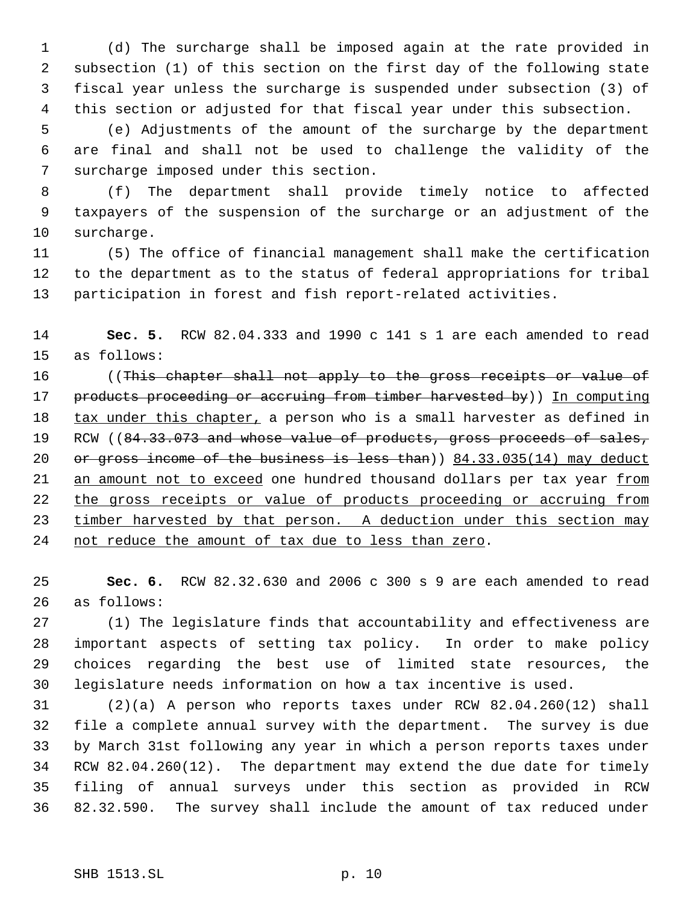(d) The surcharge shall be imposed again at the rate provided in subsection (1) of this section on the first day of the following state fiscal year unless the surcharge is suspended under subsection (3) of this section or adjusted for that fiscal year under this subsection.

 (e) Adjustments of the amount of the surcharge by the department are final and shall not be used to challenge the validity of the surcharge imposed under this section.

 (f) The department shall provide timely notice to affected taxpayers of the suspension of the surcharge or an adjustment of the surcharge.

 (5) The office of financial management shall make the certification to the department as to the status of federal appropriations for tribal participation in forest and fish report-related activities.

 **Sec. 5.** RCW 82.04.333 and 1990 c 141 s 1 are each amended to read as follows:

16 (This chapter shall not apply to the gross receipts or value of 17 products proceeding or accruing from timber harvested by)) In computing 18 tax under this chapter, a person who is a small harvester as defined in 19 RCW ((84.33.073 and whose value of products, gross proceeds of sales, 20 or gross income of the business is less than)) 84.33.035(14) may deduct 21 an amount not to exceed one hundred thousand dollars per tax year from 22 the gross receipts or value of products proceeding or accruing from 23 timber harvested by that person. A deduction under this section may 24 not reduce the amount of tax due to less than zero.

 **Sec. 6.** RCW 82.32.630 and 2006 c 300 s 9 are each amended to read as follows:

 (1) The legislature finds that accountability and effectiveness are important aspects of setting tax policy. In order to make policy choices regarding the best use of limited state resources, the legislature needs information on how a tax incentive is used.

 (2)(a) A person who reports taxes under RCW 82.04.260(12) shall file a complete annual survey with the department. The survey is due by March 31st following any year in which a person reports taxes under RCW 82.04.260(12). The department may extend the due date for timely filing of annual surveys under this section as provided in RCW 82.32.590. The survey shall include the amount of tax reduced under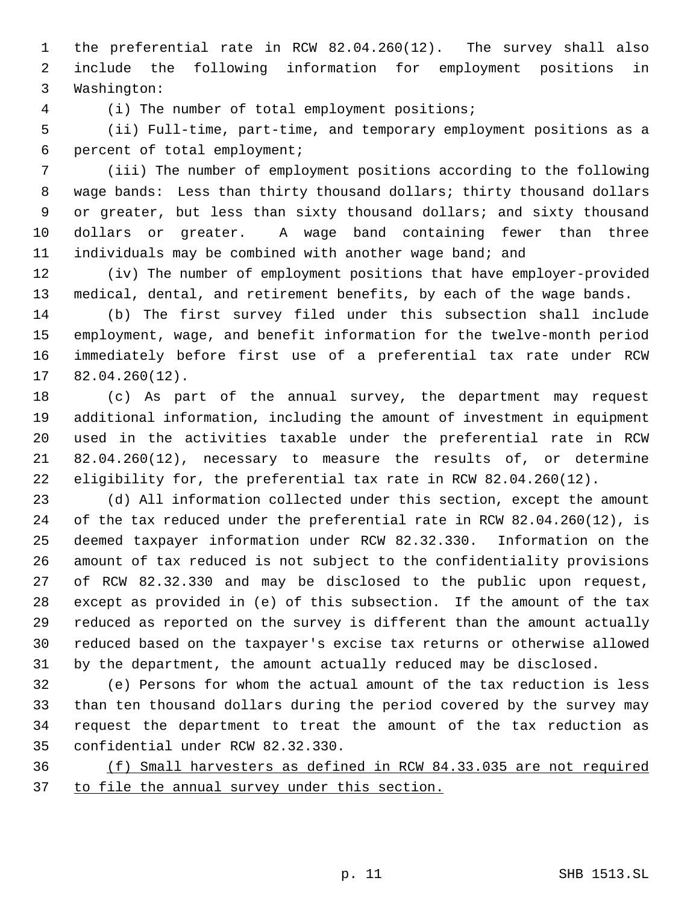the preferential rate in RCW 82.04.260(12). The survey shall also include the following information for employment positions in Washington:

(i) The number of total employment positions;

 (ii) Full-time, part-time, and temporary employment positions as a percent of total employment;

 (iii) The number of employment positions according to the following wage bands: Less than thirty thousand dollars; thirty thousand dollars or greater, but less than sixty thousand dollars; and sixty thousand dollars or greater. A wage band containing fewer than three individuals may be combined with another wage band; and

 (iv) The number of employment positions that have employer-provided medical, dental, and retirement benefits, by each of the wage bands.

 (b) The first survey filed under this subsection shall include employment, wage, and benefit information for the twelve-month period immediately before first use of a preferential tax rate under RCW 82.04.260(12).

 (c) As part of the annual survey, the department may request additional information, including the amount of investment in equipment used in the activities taxable under the preferential rate in RCW 82.04.260(12), necessary to measure the results of, or determine eligibility for, the preferential tax rate in RCW 82.04.260(12).

 (d) All information collected under this section, except the amount of the tax reduced under the preferential rate in RCW 82.04.260(12), is deemed taxpayer information under RCW 82.32.330. Information on the amount of tax reduced is not subject to the confidentiality provisions of RCW 82.32.330 and may be disclosed to the public upon request, except as provided in (e) of this subsection. If the amount of the tax reduced as reported on the survey is different than the amount actually reduced based on the taxpayer's excise tax returns or otherwise allowed by the department, the amount actually reduced may be disclosed.

 (e) Persons for whom the actual amount of the tax reduction is less than ten thousand dollars during the period covered by the survey may request the department to treat the amount of the tax reduction as confidential under RCW 82.32.330.

 (f) Small harvesters as defined in RCW 84.33.035 are not required 37 to file the annual survey under this section.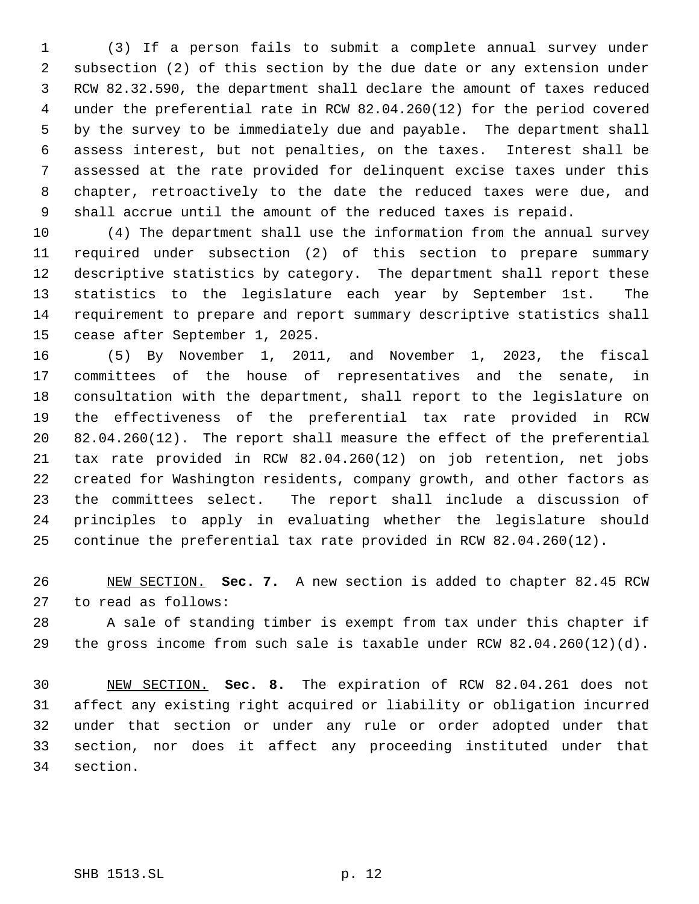(3) If a person fails to submit a complete annual survey under subsection (2) of this section by the due date or any extension under RCW 82.32.590, the department shall declare the amount of taxes reduced under the preferential rate in RCW 82.04.260(12) for the period covered by the survey to be immediately due and payable. The department shall assess interest, but not penalties, on the taxes. Interest shall be assessed at the rate provided for delinquent excise taxes under this chapter, retroactively to the date the reduced taxes were due, and shall accrue until the amount of the reduced taxes is repaid.

 (4) The department shall use the information from the annual survey required under subsection (2) of this section to prepare summary descriptive statistics by category. The department shall report these statistics to the legislature each year by September 1st. The requirement to prepare and report summary descriptive statistics shall cease after September 1, 2025.

 (5) By November 1, 2011, and November 1, 2023, the fiscal committees of the house of representatives and the senate, in consultation with the department, shall report to the legislature on the effectiveness of the preferential tax rate provided in RCW 82.04.260(12). The report shall measure the effect of the preferential tax rate provided in RCW 82.04.260(12) on job retention, net jobs created for Washington residents, company growth, and other factors as the committees select. The report shall include a discussion of principles to apply in evaluating whether the legislature should continue the preferential tax rate provided in RCW 82.04.260(12).

 NEW SECTION. **Sec. 7.** A new section is added to chapter 82.45 RCW to read as follows:

 A sale of standing timber is exempt from tax under this chapter if the gross income from such sale is taxable under RCW 82.04.260(12)(d).

 NEW SECTION. **Sec. 8.** The expiration of RCW 82.04.261 does not affect any existing right acquired or liability or obligation incurred under that section or under any rule or order adopted under that section, nor does it affect any proceeding instituted under that section.